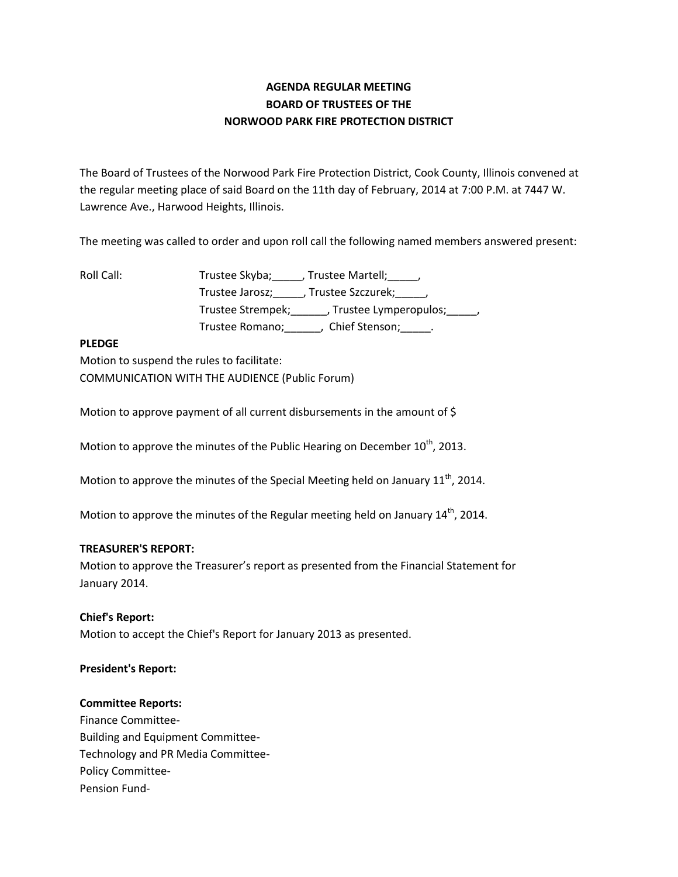# **AGENDA REGULAR MEETING BOARD OF TRUSTEES OF THE NORWOOD PARK FIRE PROTECTION DISTRICT**

The Board of Trustees of the Norwood Park Fire Protection District, Cook County, Illinois convened at the regular meeting place of said Board on the 11th day of February, 2014 at 7:00 P.M. at 7447 W. Lawrence Ave., Harwood Heights, Illinois.

The meeting was called to order and upon roll call the following named members answered present:

Roll Call: Trustee Skyba; \_\_\_\_, Trustee Martell; \_\_\_\_, Trustee Jarosz;\_\_\_\_\_, Trustee Szczurek;\_\_\_\_\_, Trustee Strempek;\_\_\_\_\_\_, Trustee Lymperopulos;\_\_\_\_\_, Trustee Romano;\_\_\_\_\_\_, Chief Stenson;\_\_\_\_\_.

#### **PLEDGE**

Motion to suspend the rules to facilitate: COMMUNICATION WITH THE AUDIENCE (Public Forum)

Motion to approve payment of all current disbursements in the amount of \$

Motion to approve the minutes of the Public Hearing on December  $10<sup>th</sup>$ , 2013.

Motion to approve the minutes of the Special Meeting held on January  $11^{th}$ , 2014.

Motion to approve the minutes of the Regular meeting held on January 14<sup>th</sup>, 2014.

## **TREASURER'S REPORT:**

Motion to approve the Treasurer's report as presented from the Financial Statement for January 2014.

**Chief's Report:** Motion to accept the Chief's Report for January 2013 as presented.

#### **President's Report:**

## **Committee Reports:**

Finance Committee-Building and Equipment Committee-Technology and PR Media Committee-Policy Committee-Pension Fund-